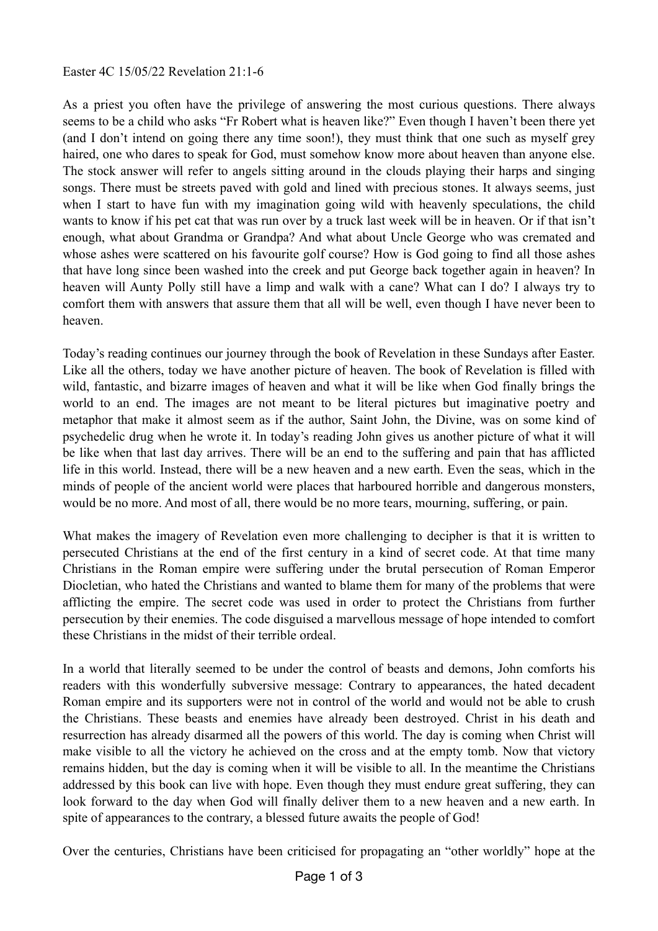As a priest you often have the privilege of answering the most curious questions. There always seems to be a child who asks "Fr Robert what is heaven like?" Even though I haven't been there yet (and I don't intend on going there any time soon!), they must think that one such as myself grey haired, one who dares to speak for God, must somehow know more about heaven than anyone else. The stock answer will refer to angels sitting around in the clouds playing their harps and singing songs. There must be streets paved with gold and lined with precious stones. It always seems, just when I start to have fun with my imagination going wild with heavenly speculations, the child wants to know if his pet cat that was run over by a truck last week will be in heaven. Or if that isn't enough, what about Grandma or Grandpa? And what about Uncle George who was cremated and whose ashes were scattered on his favourite golf course? How is God going to find all those ashes that have long since been washed into the creek and put George back together again in heaven? In heaven will Aunty Polly still have a limp and walk with a cane? What can I do? I always try to comfort them with answers that assure them that all will be well, even though I have never been to heaven.

Today's reading continues our journey through the book of Revelation in these Sundays after Easter. Like all the others, today we have another picture of heaven. The book of Revelation is filled with wild, fantastic, and bizarre images of heaven and what it will be like when God finally brings the world to an end. The images are not meant to be literal pictures but imaginative poetry and metaphor that make it almost seem as if the author, Saint John, the Divine, was on some kind of psychedelic drug when he wrote it. In today's reading John gives us another picture of what it will be like when that last day arrives. There will be an end to the suffering and pain that has afflicted life in this world. Instead, there will be a new heaven and a new earth. Even the seas, which in the minds of people of the ancient world were places that harboured horrible and dangerous monsters, would be no more. And most of all, there would be no more tears, mourning, suffering, or pain.

What makes the imagery of Revelation even more challenging to decipher is that it is written to persecuted Christians at the end of the first century in a kind of secret code. At that time many Christians in the Roman empire were suffering under the brutal persecution of Roman Emperor Diocletian, who hated the Christians and wanted to blame them for many of the problems that were afflicting the empire. The secret code was used in order to protect the Christians from further persecution by their enemies. The code disguised a marvellous message of hope intended to comfort these Christians in the midst of their terrible ordeal.

In a world that literally seemed to be under the control of beasts and demons, John comforts his readers with this wonderfully subversive message: Contrary to appearances, the hated decadent Roman empire and its supporters were not in control of the world and would not be able to crush the Christians. These beasts and enemies have already been destroyed. Christ in his death and resurrection has already disarmed all the powers of this world. The day is coming when Christ will make visible to all the victory he achieved on the cross and at the empty tomb. Now that victory remains hidden, but the day is coming when it will be visible to all. In the meantime the Christians addressed by this book can live with hope. Even though they must endure great suffering, they can look forward to the day when God will finally deliver them to a new heaven and a new earth. In spite of appearances to the contrary, a blessed future awaits the people of God!

Over the centuries, Christians have been criticised for propagating an "other worldly" hope at the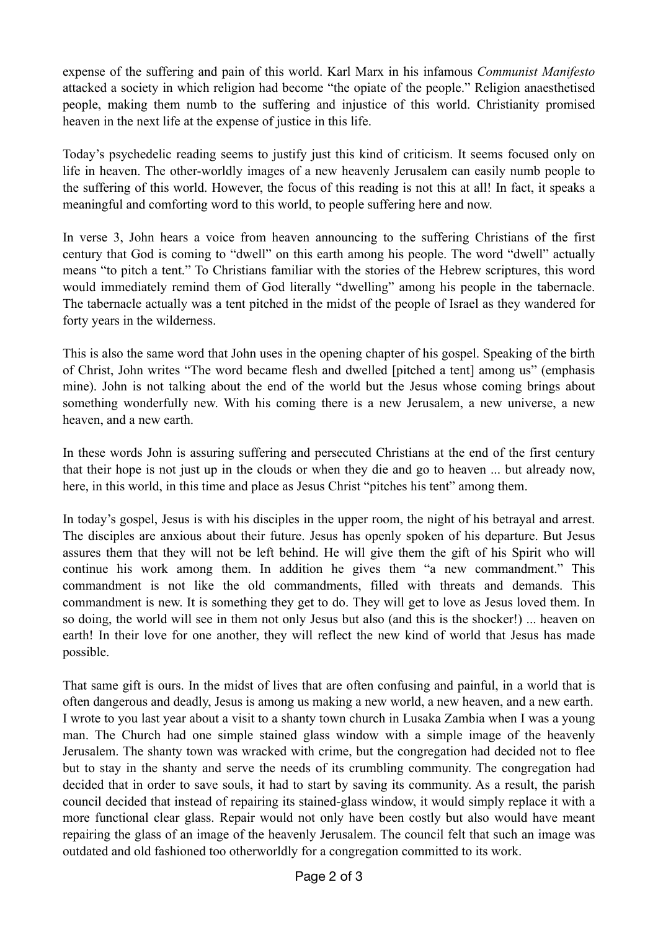expense of the suffering and pain of this world. Karl Marx in his infamous *Communist Manifesto* attacked a society in which religion had become "the opiate of the people." Religion anaesthetised people, making them numb to the suffering and injustice of this world. Christianity promised heaven in the next life at the expense of justice in this life.

Today's psychedelic reading seems to justify just this kind of criticism. It seems focused only on life in heaven. The other-worldly images of a new heavenly Jerusalem can easily numb people to the suffering of this world. However, the focus of this reading is not this at all! In fact, it speaks a meaningful and comforting word to this world, to people suffering here and now.

In verse 3, John hears a voice from heaven announcing to the suffering Christians of the first century that God is coming to "dwell" on this earth among his people. The word "dwell" actually means "to pitch a tent." To Christians familiar with the stories of the Hebrew scriptures, this word would immediately remind them of God literally "dwelling" among his people in the tabernacle. The tabernacle actually was a tent pitched in the midst of the people of Israel as they wandered for forty years in the wilderness.

This is also the same word that John uses in the opening chapter of his gospel. Speaking of the birth of Christ, John writes "The word became flesh and dwelled [pitched a tent] among us" (emphasis mine). John is not talking about the end of the world but the Jesus whose coming brings about something wonderfully new. With his coming there is a new Jerusalem, a new universe, a new heaven, and a new earth.

In these words John is assuring suffering and persecuted Christians at the end of the first century that their hope is not just up in the clouds or when they die and go to heaven ... but already now, here, in this world, in this time and place as Jesus Christ "pitches his tent" among them.

In today's gospel, Jesus is with his disciples in the upper room, the night of his betrayal and arrest. The disciples are anxious about their future. Jesus has openly spoken of his departure. But Jesus assures them that they will not be left behind. He will give them the gift of his Spirit who will continue his work among them. In addition he gives them "a new commandment." This commandment is not like the old commandments, filled with threats and demands. This commandment is new. It is something they get to do. They will get to love as Jesus loved them. In so doing, the world will see in them not only Jesus but also (and this is the shocker!) ... heaven on earth! In their love for one another, they will reflect the new kind of world that Jesus has made possible.

That same gift is ours. In the midst of lives that are often confusing and painful, in a world that is often dangerous and deadly, Jesus is among us making a new world, a new heaven, and a new earth. I wrote to you last year about a visit to a shanty town church in Lusaka Zambia when I was a young man. The Church had one simple stained glass window with a simple image of the heavenly Jerusalem. The shanty town was wracked with crime, but the congregation had decided not to flee but to stay in the shanty and serve the needs of its crumbling community. The congregation had decided that in order to save souls, it had to start by saving its community. As a result, the parish council decided that instead of repairing its stained-glass window, it would simply replace it with a more functional clear glass. Repair would not only have been costly but also would have meant repairing the glass of an image of the heavenly Jerusalem. The council felt that such an image was outdated and old fashioned too otherworldly for a congregation committed to its work.